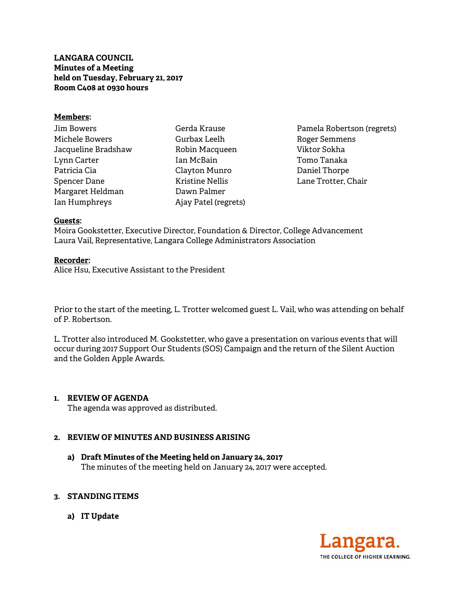**LANGARA COUNCIL Minutes of a Meeting held on Tuesday, February 21, 2017 Room C408 at 0930 hours** 

### **Members:**

| Jim Bowers          |
|---------------------|
| Michele Bowers      |
| Jacqueline Bradshaw |
| Lynn Carter         |
| Patricia Cia        |
| Spencer Dane        |
| Margaret Heldman    |
| Ian Humphreys       |

Gerda Krause Gurbax Leelh Robin Macqueen Ian McBain Clayton Munro Kristine Nellis Dawn Palmer Ajay Patel (regrets)

Pamela Robertson (regrets) Roger Semmens Viktor Sokha Tomo Tanaka Daniel Thorpe Lane Trotter, Chair

#### **Guests:**

Moira Gookstetter, Executive Director, Foundation & Director, College Advancement Laura Vail, Representative, Langara College Administrators Association

#### **Recorder:**

Alice Hsu, Executive Assistant to the President

Prior to the start of the meeting, L. Trotter welcomed guest L. Vail, who was attending on behalf of P. Robertson.

L. Trotter also introduced M. Gookstetter, who gave a presentation on various events that will occur during 2017 Support Our Students (SOS) Campaign and the return of the Silent Auction and the Golden Apple Awards.

## **1. REVIEW OF AGENDA**

The agenda was approved as distributed.

## **2. REVIEW OF MINUTES AND BUSINESS ARISING**

**a) Draft Minutes of the Meeting held on January 24, 2017**  The minutes of the meeting held on January 24, 2017 were accepted.

## **3. STANDING ITEMS**

**a) IT Update** 

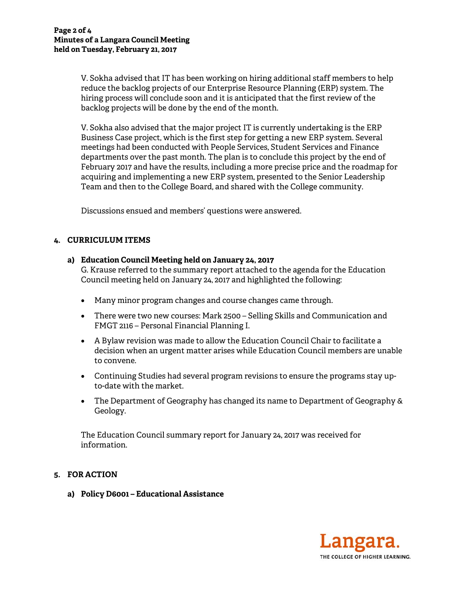V. Sokha advised that IT has been working on hiring additional staff members to help reduce the backlog projects of our Enterprise Resource Planning (ERP) system. The hiring process will conclude soon and it is anticipated that the first review of the backlog projects will be done by the end of the month.

V. Sokha also advised that the major project IT is currently undertaking is the ERP Business Case project, which is the first step for getting a new ERP system. Several meetings had been conducted with People Services, Student Services and Finance departments over the past month. The plan is to conclude this project by the end of February 2017 and have the results, including a more precise price and the roadmap for acquiring and implementing a new ERP system, presented to the Senior Leadership Team and then to the College Board, and shared with the College community.

Discussions ensued and members' questions were answered.

## **4. CURRICULUM ITEMS**

## **a) Education Council Meeting held on January 24, 2017**

G. Krause referred to the summary report attached to the agenda for the Education Council meeting held on January 24, 2017 and highlighted the following:

- Many minor program changes and course changes came through.
- There were two new courses: Mark 2500 Selling Skills and Communication and FMGT 2116 – Personal Financial Planning I.
- A Bylaw revision was made to allow the Education Council Chair to facilitate a decision when an urgent matter arises while Education Council members are unable to convene.
- Continuing Studies had several program revisions to ensure the programs stay upto-date with the market.
- The Department of Geography has changed its name to Department of Geography & Geology.

The Education Council summary report for January 24, 2017 was received for information.

# **5. FOR ACTION**

**a) Policy D6001 – Educational Assistance** 

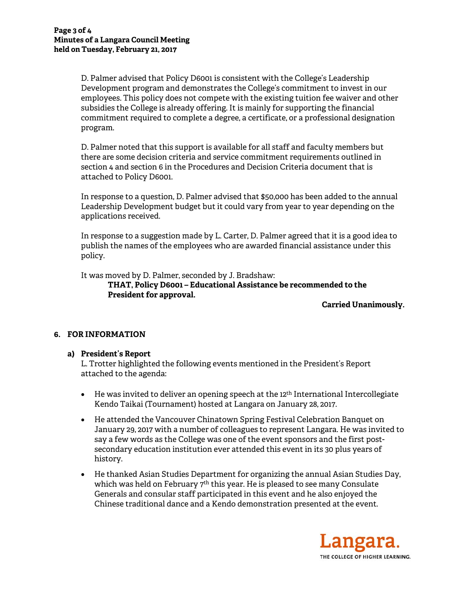D. Palmer advised that Policy D6001 is consistent with the College's Leadership Development program and demonstrates the College's commitment to invest in our employees. This policy does not compete with the existing tuition fee waiver and other subsidies the College is already offering. It is mainly for supporting the financial commitment required to complete a degree, a certificate, or a professional designation program.

D. Palmer noted that this support is available for all staff and faculty members but there are some decision criteria and service commitment requirements outlined in section 4 and section 6 in the Procedures and Decision Criteria document that is attached to Policy D6001.

In response to a question, D. Palmer advised that \$50,000 has been added to the annual Leadership Development budget but it could vary from year to year depending on the applications received.

In response to a suggestion made by L. Carter, D. Palmer agreed that it is a good idea to publish the names of the employees who are awarded financial assistance under this policy.

It was moved by D. Palmer, seconded by J. Bradshaw:

**THAT, Policy D6001 – Educational Assistance be recommended to the President for approval.** 

**Carried Unanimously.** 

## **6. FOR INFORMATION**

## **a) President's Report**

L. Trotter highlighted the following events mentioned in the President's Report attached to the agenda:

- He was invited to deliver an opening speech at the 12<sup>th</sup> International Intercollegiate Kendo Taikai (Tournament) hosted at Langara on January 28, 2017.
- He attended the Vancouver Chinatown Spring Festival Celebration Banquet on January 29, 2017 with a number of colleagues to represent Langara. He was invited to say a few words as the College was one of the event sponsors and the first postsecondary education institution ever attended this event in its 30 plus years of history.
- He thanked Asian Studies Department for organizing the annual Asian Studies Day, which was held on February 7<sup>th</sup> this year. He is pleased to see many Consulate Generals and consular staff participated in this event and he also enjoyed the Chinese traditional dance and a Kendo demonstration presented at the event.